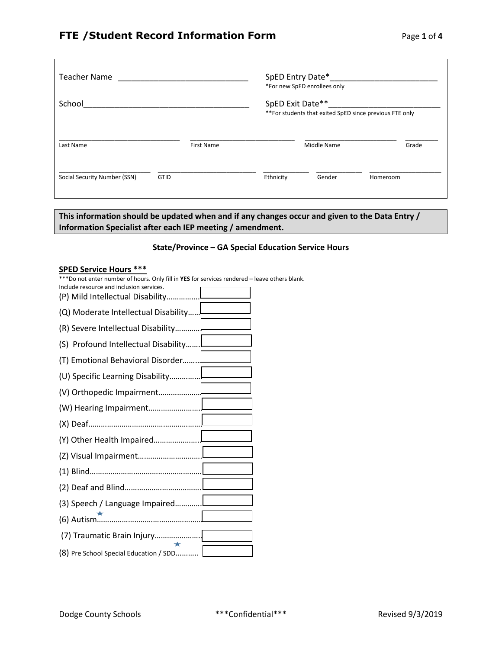┑

| <b>Teacher Name</b>          |                   | SpED Entry Date*_<br>*For new SpED enrollees only                           |        |          |  |  |
|------------------------------|-------------------|-----------------------------------------------------------------------------|--------|----------|--|--|
| School                       |                   | SpED Exit Date**<br>**For students that exited SpED since previous FTE only |        |          |  |  |
| Last Name                    | <b>First Name</b> |                                                                             | Grade  |          |  |  |
| Social Security Number (SSN) | <b>GTID</b>       | Ethnicity                                                                   | Gender | Homeroom |  |  |

**This information should be updated when and if any changes occur and given to the Data Entry / Information Specialist after each IEP meeting / amendment.**

### **State/Province – GA Special Education Service Hours**

#### **SPED Service Hours \*\*\***

 $\Gamma$ 

\*\*\*Do not enter number of hours. Only fill in **YES** for services rendered – leave others blank.

| Include resource and inclusion services.<br>(P) Mild Intellectual Disability |
|------------------------------------------------------------------------------|
| (Q) Moderate Intellectual Disability                                         |
| (R) Severe Intellectual Disability                                           |
| (S) Profound Intellectual Disability                                         |
| (T) Emotional Behavioral Disorder                                            |
|                                                                              |
|                                                                              |
|                                                                              |
|                                                                              |
|                                                                              |
|                                                                              |
|                                                                              |
|                                                                              |
| (3) Speech / Language Impaired                                               |
|                                                                              |
| (7) Traumatic Brain Injury                                                   |
| $\star$<br>(8) Pre School Special Education / SDD                            |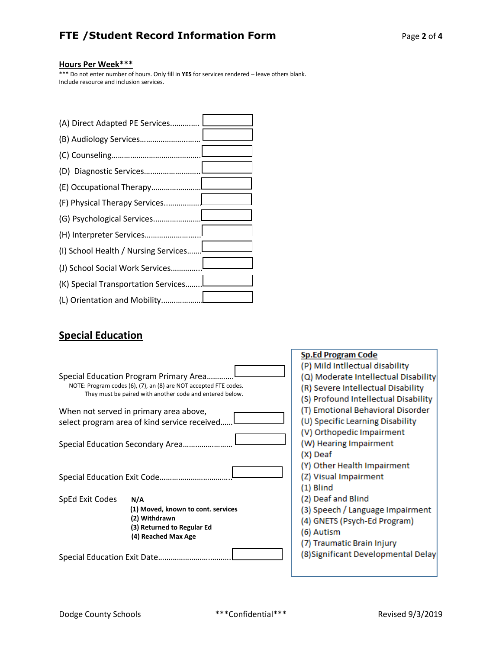# **FTE /Student Record Information Form** Page **2** of **4**

## **Hours Per Week\*\*\***

\*\*\* Do not enter number of hours. Only fill in **YES** for services rendered – leave others blank. Include resource and inclusion services.

| (A) Direct Adapted PE Services       |  |
|--------------------------------------|--|
|                                      |  |
|                                      |  |
|                                      |  |
|                                      |  |
|                                      |  |
|                                      |  |
|                                      |  |
| (I) School Health / Nursing Services |  |
| (J) School Social Work Services!     |  |
| (K) Special Transportation Services  |  |
|                                      |  |

# **Special Education**

|                                              |                                                                  | <b>Sp.Ed Program Code</b>            |  |  |  |
|----------------------------------------------|------------------------------------------------------------------|--------------------------------------|--|--|--|
|                                              |                                                                  | (P) Mild Intllectual disability      |  |  |  |
| Special Education Program Primary Area       |                                                                  | (Q) Moderate Intellectual Disability |  |  |  |
|                                              | NOTE: Program codes (6), (7), an (8) are NOT accepted FTE codes. | (R) Severe Intellectual Disability   |  |  |  |
|                                              | They must be paired with another code and entered below.         | (S) Profound Intellectual Disability |  |  |  |
|                                              | When not served in primary area above,                           | (T) Emotional Behavioral Disorder    |  |  |  |
| select program area of kind service received |                                                                  | (U) Specific Learning Disability     |  |  |  |
|                                              |                                                                  | (V) Orthopedic Impairment            |  |  |  |
|                                              |                                                                  | (W) Hearing Impairment               |  |  |  |
|                                              |                                                                  | (X) Deaf                             |  |  |  |
|                                              |                                                                  | (Y) Other Health Impairment          |  |  |  |
| Special Education Exit Code                  |                                                                  | (Z) Visual Impairment                |  |  |  |
|                                              |                                                                  | $(1)$ Blind                          |  |  |  |
| SpEd Exit Codes                              | N/A                                                              | (2) Deaf and Blind                   |  |  |  |
|                                              | (1) Moved, known to cont. services                               | (3) Speech / Language Impairment     |  |  |  |
|                                              | (2) Withdrawn                                                    | (4) GNETS (Psych-Ed Program)         |  |  |  |
|                                              | (3) Returned to Regular Ed                                       | (6) Autism                           |  |  |  |
|                                              | (4) Reached Max Age                                              |                                      |  |  |  |
|                                              |                                                                  | (7) Traumatic Brain Injury           |  |  |  |
| Special Education Exit Date                  |                                                                  | (8) Significant Developmental Delay  |  |  |  |
|                                              |                                                                  |                                      |  |  |  |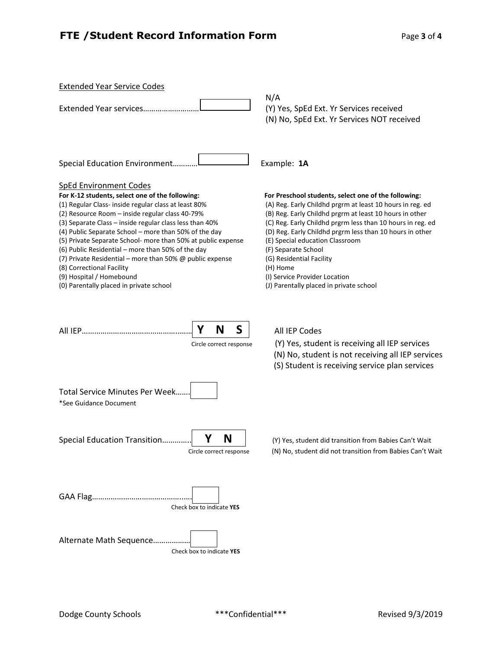# **FTE / Student Record Information Form** Page 3 of 4

| <b>Extended Year Service Codes</b><br>Extended Year services                                                                                                                                                                                                                                                                                                                                                                                                                                                                                                                                                | N/A<br>(Y) Yes, SpEd Ext. Yr Services received<br>(N) No, SpEd Ext. Yr Services NOT received                                                                                                                                                                                                                                                                                                                                                                                         |
|-------------------------------------------------------------------------------------------------------------------------------------------------------------------------------------------------------------------------------------------------------------------------------------------------------------------------------------------------------------------------------------------------------------------------------------------------------------------------------------------------------------------------------------------------------------------------------------------------------------|--------------------------------------------------------------------------------------------------------------------------------------------------------------------------------------------------------------------------------------------------------------------------------------------------------------------------------------------------------------------------------------------------------------------------------------------------------------------------------------|
| Special Education Environment                                                                                                                                                                                                                                                                                                                                                                                                                                                                                                                                                                               | Example: 1A                                                                                                                                                                                                                                                                                                                                                                                                                                                                          |
| <b>SpEd Environment Codes</b><br>For K-12 students, select one of the following:<br>(1) Regular Class- inside regular class at least 80%<br>(2) Resource Room - inside regular class 40-79%<br>(3) Separate Class - inside regular class less than 40%<br>(4) Public Separate School - more than 50% of the day<br>(5) Private Separate School- more than 50% at public expense<br>(6) Public Residential – more than 50% of the day<br>(7) Private Residential – more than 50% $\omega$ public expense<br>(8) Correctional Facility<br>(9) Hospital / Homebound<br>(0) Parentally placed in private school | For Preschool students, select one of the following:<br>(A) Reg. Early Childhd prgrm at least 10 hours in reg. ed<br>(B) Reg. Early Childhd prgrm at least 10 hours in other<br>(C) Reg. Early Childhd prgrm less than 10 hours in reg. ed<br>(D) Reg. Early Childhd prgrm less than 10 hours in other<br>(E) Special education Classroom<br>(F) Separate School<br>(G) Residential Facility<br>(H) Home<br>(I) Service Provider Location<br>(J) Parentally placed in private school |
| S<br>N<br>Υ<br>Circle correct response                                                                                                                                                                                                                                                                                                                                                                                                                                                                                                                                                                      | All IEP Codes<br>(Y) Yes, student is receiving all IEP services<br>(N) No, student is not receiving all IEP services<br>(S) Student is receiving service plan services                                                                                                                                                                                                                                                                                                               |
| Total Service Minutes Per Week<br>*See Guidance Document                                                                                                                                                                                                                                                                                                                                                                                                                                                                                                                                                    |                                                                                                                                                                                                                                                                                                                                                                                                                                                                                      |
| Y<br>N<br>Special Education Transition<br>Circle correct response                                                                                                                                                                                                                                                                                                                                                                                                                                                                                                                                           | (Y) Yes, student did transition from Babies Can't Wait<br>(N) No, student did not transition from Babies Can't Wait                                                                                                                                                                                                                                                                                                                                                                  |
| Check box to indicate YES                                                                                                                                                                                                                                                                                                                                                                                                                                                                                                                                                                                   |                                                                                                                                                                                                                                                                                                                                                                                                                                                                                      |
| Alternate Math Sequence<br>Check box to indicate YES                                                                                                                                                                                                                                                                                                                                                                                                                                                                                                                                                        |                                                                                                                                                                                                                                                                                                                                                                                                                                                                                      |